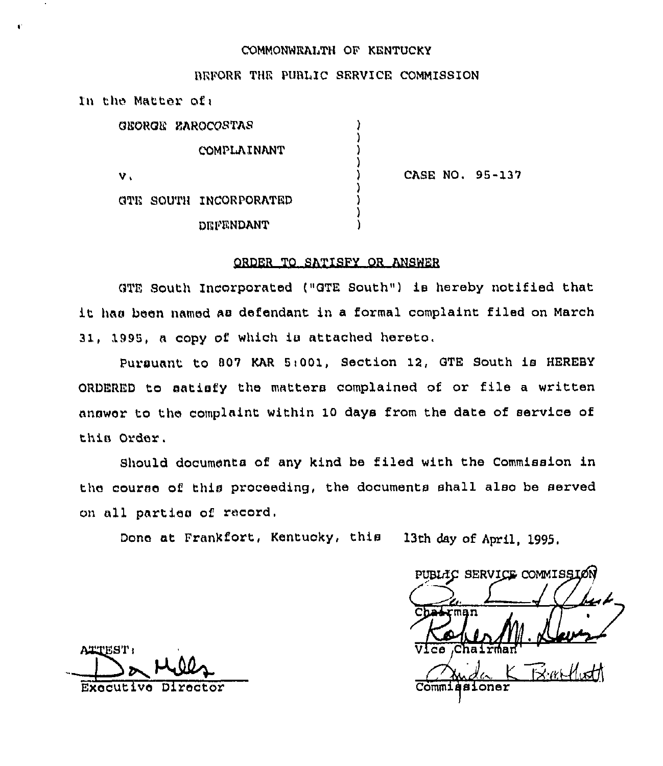# COMMONWEALTH OF KENTUCKY

#### REFORE THE PUBLIC SERVICE COMMISSION

| In the Matter of:      |                 |  |
|------------------------|-----------------|--|
| GEORGE ZAROCOSTAS      |                 |  |
| COMPLAINANT            |                 |  |
| ν.                     | CASE NO. 95-137 |  |
| GTE SOUTH INCORPORATED |                 |  |
| DEFENDANT              |                 |  |

### ORDER TO SATISPY OR ANSWER

GTE South Incorporated ("GTE South") is hereby notified that it has been named as defendant in <sup>a</sup> formal complaint filed on March 31, 1995, a copy of which is attached hereto.

Pursuant to 007 KAR 5i001, Section 12, QTE South is HEREBY ORDERED to satisfy the matters complained of or file <sup>a</sup> written answer to the complaint within 10 days from the date of service of this Order.

Should documents of any kind be filed with the Commission in the course of this proceeding, the documents shall also be served on all parties of record.

Done at Frankfort, Kentucky, this 13th day of April, 1895.

PUBLIC SERVICE COMMISSION  $\overline{\mathtt{V}}$ Ice  $\overline{\mathtt{c}}$ hai  $B$  with  $H$ 

ATTEST: Executive Director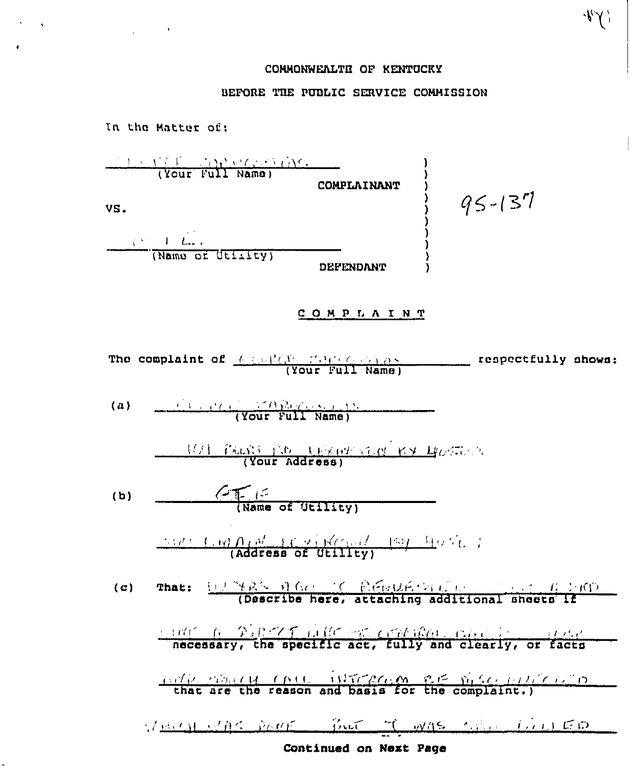# COMMONWEALTH OF KENTUCKY

 $441$ 

# BEFORE THE PUBLIC SERVICE COMMISSION

In the Matter of: (Your Full Name) COMPLAINANT  $95 - 137$ VS. **DEFENDANT** COMPLAINT The complaint of  $\frac{f(x) - f(x) + f(x) - f(x)}{f(x) + f(x)}$  (Your Full Name) (a)  $\frac{(\mathcal{L} \cap \mathcal{L} \cap \mathcal{L} \cap \mathcal{L} \cap \mathcal{L} \cap \mathcal{L} \cap \mathcal{L} \cap \mathcal{L} \cap \mathcal{L} \cap \mathcal{L} \cap \mathcal{L} \cap \mathcal{L} \cap \mathcal{L} \cap \mathcal{L} \cap \mathcal{L} \cap \mathcal{L} \cap \mathcal{L} \cap \mathcal{L} \cap \mathcal{L} \cap \mathcal{L} \cap \mathcal{L} \cap \mathcal{L} \cap \mathcal{L} \cap \mathcal{L} \cap \mathcal{L} \cap \mathcal{L} \cap \mathcal{L$ 101 PROST IN TEXTURN RY HOSTOP (b)  $\leftarrow$   $\leftarrow$   $\leftarrow$   $\leftarrow$   $\leftarrow$   $\leftarrow$   $\leftarrow$   $\leftarrow$   $\leftarrow$   $\leftarrow$   $\leftarrow$   $\leftarrow$   $\leftarrow$   $\leftarrow$   $\leftarrow$   $\leftarrow$   $\leftarrow$   $\leftarrow$   $\leftarrow$   $\leftarrow$   $\leftarrow$   $\leftarrow$   $\leftarrow$   $\leftarrow$   $\leftarrow$   $\leftarrow$   $\leftarrow$   $\leftarrow$   $\leftarrow$   $\leftarrow$   $\leftarrow$   $\leftarrow$   $\leftarrow$   $\leftarrow$   $\leftarrow$   $\leftarrow$   $\frac{1}{\sqrt{2}}\left(\frac{1}{\sqrt{2}}\right)\left(\frac{1}{\sqrt{2}}\right)\left(\frac{1}{\sqrt{2}}\right)\left(\frac{1}{\sqrt{2}}\right)\left(\frac{1}{\sqrt{2}}\right)\left(\frac{1}{\sqrt{2}}\right)\left(\frac{1}{\sqrt{2}}\right)\left(\frac{1}{\sqrt{2}}\right)\left(\frac{1}{\sqrt{2}}\right)\left(\frac{1}{\sqrt{2}}\right)\left(\frac{1}{\sqrt{2}}\right)\left(\frac{1}{\sqrt{2}}\right)\left(\frac{1}{\sqrt{2}}\right)\left(\frac{1}{\sqrt{2}}\right)\left(\frac{1}{\sqrt{2}}\right$ necessary, the specific act, fully and clearly, or facts the content (pit intraction and significantly completed to VERSIONAL DOCK BUT IT WAS LODGED FOR Continued on Next Page